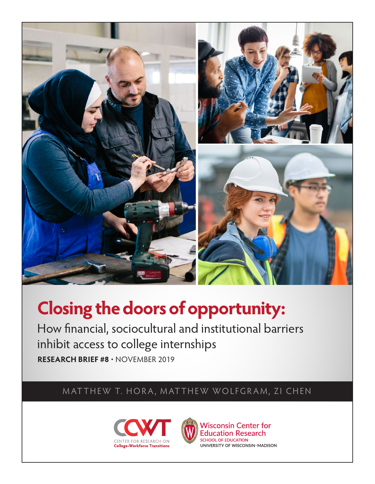

# **Closing the doors of opportunity:**

How financial, sociocultural and institutional barriers inhibit access to college internships **RESEARCH BRIEF #8** • NOVEMBER 2019

MATTHEW T. HORA, MATTHEW WOLFGRAM, ZI CHEN



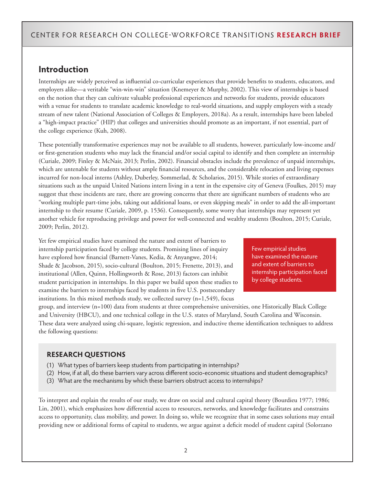## **Introduction**

Internships are widely perceived as influential co-curricular experiences that provide benefits to students, educators, and employers alike—a veritable "win-win-win" situation (Knemeyer & Murphy, 2002). This view of internships is based on the notion that they can cultivate valuable professional experiences and networks for students, provide educators with a venue for students to translate academic knowledge to real-world situations, and supply employers with a steady stream of new talent (National Association of Colleges & Employers, 2018a). As a result, internships have been labeled a "high-impact practice" (HIP) that colleges and universities should promote as an important, if not essential, part of the college experience (Kuh, 2008).

These potentially transformative experiences may not be available to all students, however, particularly low-income and/ or first-generation students who may lack the financial and/or social capital to identify and then complete an internship (Curiale, 2009; Finley & McNair, 2013; Perlin, 2002). Financial obstacles include the prevalence of unpaid internships, which are untenable for students without ample financial resources, and the considerable relocation and living expenses incurred for non-local interns (Ashley, Duberley, Sommerlad, & Scholarios, 2015). While stories of extraordinary situations such as the unpaid United Nations intern living in a tent in the expensive city of Geneva (Foulkes, 2015) may suggest that these incidents are rare, there are growing concerns that there are significant numbers of students who are "working multiple part-time jobs, taking out additional loans, or even skipping meals" in order to add the all-important internship to their resume (Curiale, 2009, p. 1536). Consequently, some worry that internships may represent yet another vehicle for reproducing privilege and power for well-connected and wealthy students (Boulton, 2015; Curiale, 2009; Perlin, 2012).

Yet few empirical studies have examined the nature and extent of barriers to internship participation faced by college students. Promising lines of inquiry have explored how financial (Barnett-Vanes, Kedia, & Anyangwe, 2014; Shade & Jacobson, 2015), socio-cultural (Boulton, 2015; Frenette, 2013), and institutional (Allen, Quinn, Hollingworth & Rose, 2013) factors can inhibit student participation in internships. In this paper we build upon these studies to examine the barriers to internships faced by students in five U.S. postsecondary institutions. In this mixed methods study, we collected survey (n=1,549), focus

Few empirical studies have examined the nature and extent of barriers to internship participation faced by college students.

group, and interview (n=100) data from students at three comprehensive universities, one Historically Black College and University (HBCU), and one technical college in the U.S. states of Maryland, South Carolina and Wisconsin. These data were analyzed using chi-square, logistic regression, and inductive theme identification techniques to address the following questions:

#### **RESEARCH QUESTIONS**

- (1) What types of barriers keep students from participating in internships?
- (2) How, if at all, do these barriers vary across different socio-economic situations and student demographics?
- (3) What are the mechanisms by which these barriers obstruct access to internships?

To interpret and explain the results of our study, we draw on social and cultural capital theory (Bourdieu 1977; 1986; Lin, 2001), which emphasizes how differential access to resources, networks, and knowledge facilitates and constrains access to opportunity, class mobility, and power. In doing so, while we recognize that in some cases solutions may entail providing new or additional forms of capital to students, we argue against a deficit model of student capital (Solorzano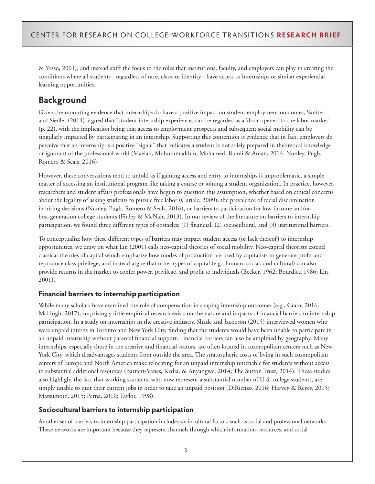& Yosso, 2001), and instead shift the focus to the roles that institutions, faculty, and employers can play in creating the conditions where all students - regardless of race, class, or identity - have access to internships or similar experiential learning opportunities.

# **Background**

Given the mounting evidence that internships do have a positive impact on student employment outcomes, Saniter and Siedler (2014) argued that "student internship experiences can be regarded as a 'door opener' to the labor market" (p. 22), with the implication being that access to employment prospects and subsequent social mobility can be singularly impacted by participating in an internship. Supporting this contention is evidence that in fact, employers do perceive that an internship is a positive "signal" that indicates a student is not solely prepared in theoretical knowledge or ignorant of the professional world (Maelah, Muhummaddun, Mohamed, Ramli & Aman, 2014; Nunley, Pugh, Romero & Seals, 2016).

However, these conversations tend to unfold as if gaining access and entry to internships is unproblematic, a simple matter of accessing an institutional program like taking a course or joining a student organization. In practice, however, researchers and student affairs professionals have begun to question this assumption, whether based on ethical concerns about the legality of asking students to pursue free labor (Curiale, 2009), the prevalence of racial discrimination in hiring decisions (Nunley, Pugh, Romero & Seals, 2016), or barriers to participation for low-income and/or first-generation college students (Finley & McNair, 2013). In our review of the literature on barriers to internship participation, we found three different types of obstacles: (1) financial, (2) sociocultural, and (3) institutional barriers.

To conceptualize how these different types of barriers may impact student access (or lack thereof) to internship opportunities, we draw on what Lin (2001) calls neo-capital theories of social mobility. Neo-capital theorists extend classical theories of capital which emphasize how modes of production are used by capitalists to generate profit and reproduce class privilege, and instead argue that other types of capital (e.g., human, social, and cultural) can also provide returns in the market to confer power, privilege, and profit to individuals (Becker, 1962; Bourdieu 1986; Lin, 2001).

#### **Financial barriers to internship participation**

While many scholars have examined the role of compensation in shaping internship outcomes (e.g., Crain, 2016; McHugh, 2017), surprisingly little empirical research exists on the nature and impacts of financial barriers to internship participation. In a study on internships in the creative industry, Shade and Jacobson (2015) interviewed women who were unpaid interns in Toronto and New York City, finding that the students would have been unable to participate in an unpaid internship without parental financial support. Financial barriers can also be amplified by geography. Many internships, especially those in the creative and financial sectors, are often located in cosmopolitan centers such as New York City, which disadvantages students from outside the area. The stratospheric costs of living in such cosmopolitan centers of Europe and North America make relocating for an unpaid internship untenable for students without access to substantial additional resources (Barnett-Vanes, Kedia, & Anyangwe, 2014; The Sutton Trust, 2014). These studies also highlight the fact that working students, who now represent a substantial number of U.S. college students, are simply unable to quit their current jobs in order to take an unpaid position (DiRienzo, 2016; Harvey & Reyes, 2015; Matsumoto, 2015; Perna, 2010; Taylor, 1998).

#### **Sociocultural barriers to internship participation**

Another set of barriers to internship participation includes sociocultural factors such as social and professional networks. These networks are important because they represent channels through which information, resources, and social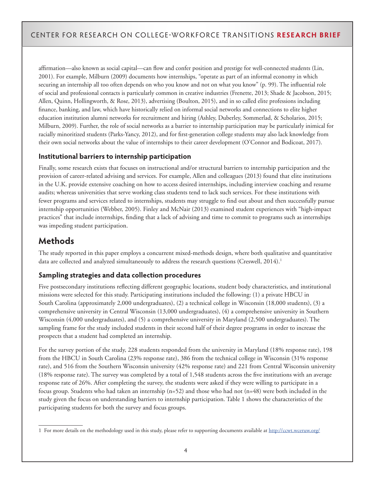affirmation—also known as social capital—can flow and confer position and prestige for well-connected students (Lin, 2001). For example, Milburn (2009) documents how internships, "operate as part of an informal economy in which securing an internship all too often depends on who you know and not on what you know" (p. 99). The influential role of social and professional contacts is particularly common in creative industries (Frenette, 2013; Shade & Jacobson, 2015; Allen, Quinn, Hollingworth, & Rose, 2013), advertising (Boulton, 2015), and in so called elite professions including finance, banking, and law, which have historically relied on informal social networks and connections to elite higher education institution alumni networks for recruitment and hiring (Ashley, Duberley, Sommerlad, & Scholarios, 2015; Milburn, 2009). Further, the role of social networks as a barrier to internship participation may be particularly inimical for racially minoritized students (Parks-Yancy, 2012), and for first-generation college students may also lack knowledge from their own social networks about the value of internships to their career development (O'Connor and Bodicoat, 2017).

#### **Institutional barriers to internship participation**

Finally, some research exists that focuses on instructional and/or structural barriers to internship participation and the provision of career-related advising and services. For example, Allen and colleagues (2013) found that elite institutions in the U.K. provide extensive coaching on how to access desired internships, including interview coaching and resume audits; whereas universities that serve working class students tend to lack such services. For these institutions with fewer programs and services related to internships, students may struggle to find out about and then successfully pursue internship opportunities (Webber, 2005). Finley and McNair (2013) examined student experiences with "high-impact practices" that include internships, finding that a lack of advising and time to commit to programs such as internships was impeding student participation.

# **Methods**

The study reported in this paper employs a concurrent mixed-methods design, where both qualitative and quantitative data are collected and analyzed simultaneously to address the research questions (Creswell, 2014).<sup>1</sup>

### **Sampling strategies and data collection procedures**

Five postsecondary institutions reflecting different geographic locations, student body characteristics, and institutional missions were selected for this study. Participating institutions included the following: (1) a private HBCU in South Carolina (approximately 2,000 undergraduates), (2) a technical college in Wisconsin (18,000 students), (3) a comprehensive university in Central Wisconsin (13,000 undergraduates), (4) a comprehensive university in Southern Wisconsin (4,000 undergraduates), and (5) a comprehensive university in Maryland (2,500 undergraduates). The sampling frame for the study included students in their second half of their degree programs in order to increase the prospects that a student had completed an internship.

For the survey portion of the study, 228 students responded from the university in Maryland (18% response rate), 198 from the HBCU in South Carolina (23% response rate), 386 from the technical college in Wisconsin (31% response rate), and 516 from the Southern Wisconsin university (42% response rate) and 221 from Central Wisconsin university (18% response rate). The survey was completed by a total of 1,548 students across the five institutions with an average response rate of 26%. After completing the survey, the students were asked if they were willing to participate in a focus group. Students who had taken an internship (n=52) and those who had not (n=48) were both included in the study given the focus on understanding barriers to internship participation. Table 1 shows the characteristics of the participating students for both the survey and focus groups.

<sup>1</sup> For more details on the methodology used in this study, please refer to supporting documents available at <http://ccwt.wceruw.org/>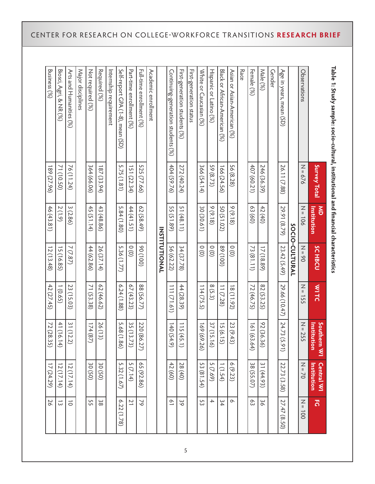| Table 1: Study sample: socio-cultural, institutional and financial characteristics |              |                                 |                |               |                                 |                                  |                      |
|------------------------------------------------------------------------------------|--------------|---------------------------------|----------------|---------------|---------------------------------|----------------------------------|----------------------|
|                                                                                    | Survey Total | $\sum_{i=1}^{n}$<br>Institution | <b>SCHBCU</b>  | <b>WITC</b>   | Southern WI<br>Institu<br>rtion | <b>Central WI</b><br>Institution | 3                    |
| Observations                                                                       | $N = 676$    | $N = 106$                       | $N = 90$       | $N = 155$     | $N = 255$                       | $N = 70$                         | $\frac{2}{1}$<br>100 |
|                                                                                    |              |                                 | SOCIO-CULTURAL |               |                                 |                                  |                      |
| Age in years, mean (SD)                                                            | 26.11 (7.88) | 29.91 (8.79)                    | 23.42 (5.49)   | 29.66 (10.47) | 24.73<br>(5.91)                 | 22.73 (3.58)                     | 27.47<br>(65.50)     |
| Gender                                                                             |              |                                 |                |               |                                 |                                  |                      |
| Male (%)                                                                           | 246 (36.39)  | 42(40)                          | 17 (18.89)     | 82 (53.25)    | 92 (36.<br>36)                  | 31 (44.93)                       | δg                   |
| Female (%)                                                                         | 407 (60.21)  | 63(60)                          | 73 (81.11)     | 72 (46.75)    | 161(6)<br>3.64)                 | 38 (55.07)                       | င္လ                  |
| Race                                                                               |              |                                 |                |               |                                 |                                  |                      |
| Asian or Asian-American (%)                                                        | 56 (8.28)    | 9(9.18)                         | $\frac{0}{2}$  | 18(11.92)     | 23 (9.4<br>تي                   | 6(9.23)                          | $\sim$               |
| Black or African-American (%)                                                      | 166 (24.56)  | 50 (51.02)                      | (001)68        | 11(7.28)      | 15 (6.15)                       | 1(1.54)                          | 34                   |
| Hispanic or Latino (%)                                                             | 59 (8.73)    | 9(9.18)                         | $\frac{0}{0}$  | 8(5.3)        | 37 (15.<br>$\overline{6}$       | 5(7.69)                          | $\overline{+}$       |
| White or Caucasian (%)                                                             | 366 (54.14)  | 30 (30.61)                      | $\frac{0}{2}$  | 114(75.5)     | 169 (69<br>6226                 | 53(81.54)                        | 53                   |
| First-generation status                                                            |              |                                 |                |               |                                 |                                  |                      |
| First-generation students (%)                                                      | 272 (40.24)  | 51(48.11)                       | 34(37.78)      | 44 (28.39)    | 115(4)<br>5.1)                  | 28 (40)                          | 39                   |
| Continuing-generation students (%)                                                 | 404(59.76)   | 55 (51.89)                      | 56 (62.22)     | (19.12)       | 140(5.<br>4.9)                  | 42(60)                           | $\overline{0}$       |
|                                                                                    |              |                                 | INSTITUTIONAL  |               |                                 |                                  |                      |
| Academic enrollment                                                                |              |                                 |                |               |                                 |                                  |                      |
| Full-time enrollment (%)                                                           | 525 (77.66)  | 62(58.49)                       | (001)06        | 88 (56.77)    | 220 (86.27)                     | 65 (92.86)                       | $\gamma$             |
| Part-time enrollment (%)                                                           | 151(22.34)   | 44 (41.51)                      | $\frac{0}{2}$  | 67(43.23)     | 35 (13.<br>$\frac{73}{}$        | 5(7.14)                          | $\overline{2}$       |
| Self-report GPA (1-8), mean (SD)                                                   | 5.75(1.81)   | 5.84(1.80)                      | 5.36 (1.77)    | 6.24(1.88)    | 5.68 (1<br>$\frac{8}{8}$        | 5.32(1.67)                       | 6.22(1.78)           |
| Internship requirement                                                             |              |                                 |                |               |                                 |                                  |                      |
| Required (%)                                                                       | 187(33.94)   | 43 (48.86)                      | 26 (37.14)     | 62 (46.62)    | 26(13)                          | 30(50)                           | စိ                   |
| Not required (%)                                                                   | 364 (66.06)  | 45 (51.14)                      | 44 (62.86)     | 71 (53.38)    | 174(8)                          | 30(50)                           | 55                   |
| Major disciplines                                                                  |              |                                 |                |               |                                 |                                  |                      |
| Arts and Humanities (%)                                                            | 76(11.24)    | 3(2.86)                         | 7(7.87)        | 23 (15.03)    | 31(12.<br>S.                    | 2(17.14)                         | $\vec{o}$            |
| Biosci, Agri, & NR (%)                                                             | 71 (10.50)   | 2(1.9)                          | 15 (16.85)     | 1(0.65)       | 41 (16.<br>$\overline{4}$       | 2(17.14)                         | $\vec{\omega}$       |
| Business (%)                                                                       | 189 (27.96)  | 46 (43.81)                      | 12(13.48)      | 42 (27.45)    | 72 (28.<br>35)                  | 17 (24.29)                       | 26                   |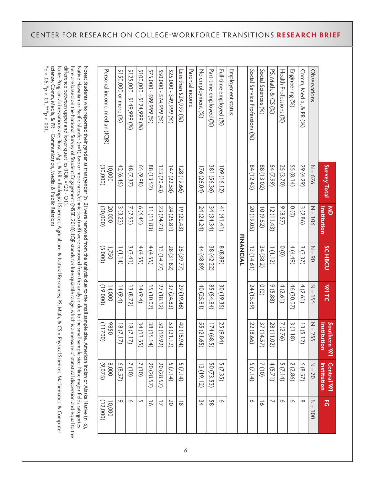|                                                                                                                                                                                                                                                                                                                                                                                                                                                                                                                                                                                                                                    | Survey Total       | $rac{1}{x}$<br>Institution | <b>SCHBCU</b>    | <b>WITC</b>       | Southern WI<br>Institution      | <b>Central WI</b><br>Institution          | ٦,                        |
|------------------------------------------------------------------------------------------------------------------------------------------------------------------------------------------------------------------------------------------------------------------------------------------------------------------------------------------------------------------------------------------------------------------------------------------------------------------------------------------------------------------------------------------------------------------------------------------------------------------------------------|--------------------|----------------------------|------------------|-------------------|---------------------------------|-------------------------------------------|---------------------------|
| Observations                                                                                                                                                                                                                                                                                                                                                                                                                                                                                                                                                                                                                       | $N = 676$          | $N = 106$                  | $N = 60$         | $N = 155$         | $N = 255$                       | $N = 70$                                  | $Z = 100$                 |
| Comm, Media,<br>& PR (%)                                                                                                                                                                                                                                                                                                                                                                                                                                                                                                                                                                                                           | 29 (4.29)          | 3(2.86)                    | 3(3.37)          | 4(2.61)           | 13(5.12)                        | (6.57)                                    | $\infty$                  |
| Engineering (%)                                                                                                                                                                                                                                                                                                                                                                                                                                                                                                                                                                                                                    | 55 $(8.14)$        | $\frac{0}{0}$              | 4(4.49)          | 46 (30.07)        | 3(1.18)                         | 2(2.86)                                   | $\circ$                   |
| Health Professions (%)                                                                                                                                                                                                                                                                                                                                                                                                                                                                                                                                                                                                             | 25 (3.70)          | 9(8.57)                    | $\frac{0}{2}$    | 4(2.61)           | ↘<br>(2.76)                     | 5(7.14)                                   | $\circ$                   |
| PS, Math, & CS (%)                                                                                                                                                                                                                                                                                                                                                                                                                                                                                                                                                                                                                 | 54(7.99)           | 12(11.43)                  | 1(1.12)          | 9(5.88)           | 28(11.0<br>$\widetilde{\Omega}$ | 4(5.71)                                   | ↘                         |
| Social Sciences (%)                                                                                                                                                                                                                                                                                                                                                                                                                                                                                                                                                                                                                | 88 (13.02)         | 10(9.52)                   | 34(38.2)         | $\frac{0}{0}$     | 37(14.<br>57)                   | (10)                                      | $\vec{\circ}$             |
| Social Service Professions (%)                                                                                                                                                                                                                                                                                                                                                                                                                                                                                                                                                                                                     | 84(12.43)          | 20 (19.05)                 | 13(14.61)        | 24 (15.69)        | 22 (8.66)                       | 5(7.14)                                   | $\circ$                   |
|                                                                                                                                                                                                                                                                                                                                                                                                                                                                                                                                                                                                                                    |                    |                            | <b>FINANCIAL</b> |                   |                                 |                                           |                           |
| Employment status                                                                                                                                                                                                                                                                                                                                                                                                                                                                                                                                                                                                                  |                    |                            |                  |                   |                                 |                                           |                           |
| Full-time employed (%)                                                                                                                                                                                                                                                                                                                                                                                                                                                                                                                                                                                                             | 109 (16.12)        | 41 (41.41)                 | 8(8.89)          | 30 (19.35)        | 25 (9.84)                       | 5(7.35)                                   | $\circ$                   |
| Part-time employed (%)                                                                                                                                                                                                                                                                                                                                                                                                                                                                                                                                                                                                             | 381 (56.36)        | 34(34.34)                  | 38 (42.22)       | 85 (54.84)        | 174 (68<br>ن                    | 50 (73.53)                                | 88                        |
| No employment (%)                                                                                                                                                                                                                                                                                                                                                                                                                                                                                                                                                                                                                  | 176 (26.04)        | 24 (24.24)                 | 44 (48.89)       | 40 (25.81)        | 55 (21.65)                      | 13 (19.12)                                | $\frac{2}{4}$             |
| Parental income                                                                                                                                                                                                                                                                                                                                                                                                                                                                                                                                                                                                                    |                    |                            |                  |                   |                                 |                                           |                           |
| Less than $524,999$ (%)                                                                                                                                                                                                                                                                                                                                                                                                                                                                                                                                                                                                            | 128 (19.66)        | 19 (20.43)                 | 35 (39.77)       | 29(19.46)         | 40 (15.94)                      | 5(7.14)                                   | $\vec{\infty}$            |
| $$25,000 - $49,999$ (%)                                                                                                                                                                                                                                                                                                                                                                                                                                                                                                                                                                                                            | 147 (22.58)        | 24 (25.81)                 | 28(31.82)        | 37 (24.83)        | 53(21.<br>ご                     | S<br>(7.14)                               | 20                        |
| $(26)$ 666+22 - 000'055                                                                                                                                                                                                                                                                                                                                                                                                                                                                                                                                                                                                            | 133 (20.43)        | 23 (24.73)                 | 13(14.77)        | 27 (18.12)        | 50 (19.92)                      | 20 (28.57)                                | $\overline{\overline{u}}$ |
| $$575,000 - $99,999$ (%)                                                                                                                                                                                                                                                                                                                                                                                                                                                                                                                                                                                                           | 88 (13.52)         | 11(11.83)                  | 4(4.55)          | 15 (10.07)        | 38 (15.<br>$\ddot{=}$           | 20 (28.57)                                | $\vec{\infty}$            |
| $(26)(000 - 5124, 999(26))$                                                                                                                                                                                                                                                                                                                                                                                                                                                                                                                                                                                                        | 65(9.98)           | 6(6.45)                    | 4 (4.55)         | 14(9.4)           | 34(13)<br>95)                   | (10)                                      | S                         |
| $$125,000 - $149,999$ (%)                                                                                                                                                                                                                                                                                                                                                                                                                                                                                                                                                                                                          | 48 (7.37)          | 7 (7.53)                   | 3(3.41)          | 13(8.72)          | 18(7.17)                        | (10)                                      | $\infty$                  |
| \$150,000 or more (%)                                                                                                                                                                                                                                                                                                                                                                                                                                                                                                                                                                                                              | 42 (6.45)          | 3(3.23)                    | 1(1.14)          | 14(9.4)           | 18(7.17)                        | 6(8.57)                                   | Ó                         |
| Personal income, median (IQR)                                                                                                                                                                                                                                                                                                                                                                                                                                                                                                                                                                                                      | 10,000<br>(30,000) | 20,000<br>(30,000)         | 1/750<br>(5,000) | (00061)<br>14,000 | 0586<br>(11700)                 | 8,000<br>(9'0'2)                          | 10,000<br>(12,000)        |
| difference between upper and lower quartiles (IQR = $\mathrm{Q3}$ - $\mathrm{Q1})$<br>Notes: Students who reported their gender as transgender (n=2) were removed from the analysis due to the small sample size.<br>here are based on the National Survey of Student Engagement (NSSE, 2018). IQR stands for Interquartile range, which is a measure of statistical dispersion and equal to the<br>Native Havalian chard is the star of the star of the star of the star of the star of less (left disciped the space to the star of the star of the star is is a star of the star of the star of the star of the star of the sta |                    |                            |                  |                   |                                 | . American Indian or Alaska Native (n=6), |                           |
| *p < .05, *p < .01, ***p < .001.<br>science; Comm, Media, & PR = Communication, Media, & Public Relations<br>Note: Program abbreviations are: Biosci, Agri, & NR = Biological Sciences, Agriculture, & Natural Resources; PS, Math, & CS = Pl                                                                                                                                                                                                                                                                                                                                                                                      |                    |                            |                  |                   |                                 | hysical Sciences, Mathematics, & Computer |                           |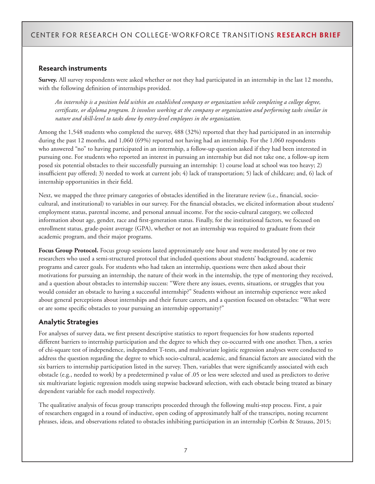#### **Research instruments**

**Survey.** All survey respondents were asked whether or not they had participated in an internship in the last 12 months, with the following definition of internships provided.

*An internship is a position held within an established company or organization while completing a college degree, certificate, or diploma program. It involves working at the company or organization and performing tasks similar in nature and skill-level to tasks done by entry-level employees in the organization.*

Among the 1,548 students who completed the survey, 488 (32%) reported that they had participated in an internship during the past 12 months, and 1,060 (69%) reported not having had an internship. For the 1,060 respondents who answered "no" to having participated in an internship, a follow-up question asked if they had been interested in pursuing one. For students who reported an interest in pursuing an internship but did not take one, a follow-up item posed six potential obstacles to their successfully pursuing an internship: 1) course load at school was too heavy; 2) insufficient pay offered; 3) needed to work at current job; 4) lack of transportation; 5) lack of childcare; and, 6) lack of internship opportunities in their field.

Next, we mapped the three primary categories of obstacles identified in the literature review (i.e., financial, sociocultural, and institutional) to variables in our survey. For the financial obstacles, we elicited information about students' employment status, parental income, and personal annual income. For the socio-cultural category, we collected information about age, gender, race and first-generation status. Finally, for the institutional factors, we focused on enrollment status, grade-point average (GPA), whether or not an internship was required to graduate from their academic program, and their major programs.

**Focus Group Protocol.** Focus group sessions lasted approximately one hour and were moderated by one or two researchers who used a semi-structured protocol that included questions about students' background, academic programs and career goals. For students who had taken an internship, questions were then asked about their motivations for pursuing an internship, the nature of their work in the internship, the type of mentoring they received, and a question about obstacles to internship success: "Were there any issues, events, situations, or struggles that you would consider an obstacle to having a successful internship?" Students without an internship experience were asked about general perceptions about internships and their future careers, and a question focused on obstacles: "What were or are some specific obstacles to your pursuing an internship opportunity?"

#### **Analytic Strategies**

For analyses of survey data, we first present descriptive statistics to report frequencies for how students reported different barriers to internship participation and the degree to which they co-occurred with one another. Then, a series of chi-square test of independence, independent T-tests, and multivariate logistic regression analyses were conducted to address the question regarding the degree to which socio-cultural, academic, and financial factors are associated with the six barriers to internship participation listed in the survey. Then, variables that were significantly associated with each obstacle (e.g., needed to work) by a predetermined p value of .05 or less were selected and used as predictors to derive six multivariate logistic regression models using stepwise backward selection, with each obstacle being treated as binary dependent variable for each model respectively.

The qualitative analysis of focus group transcripts proceeded through the following multi-step process. First, a pair of researchers engaged in a round of inductive, open coding of approximately half of the transcripts, noting recurrent phrases, ideas, and observations related to obstacles inhibiting participation in an internship (Corbin & Strauss, 2015;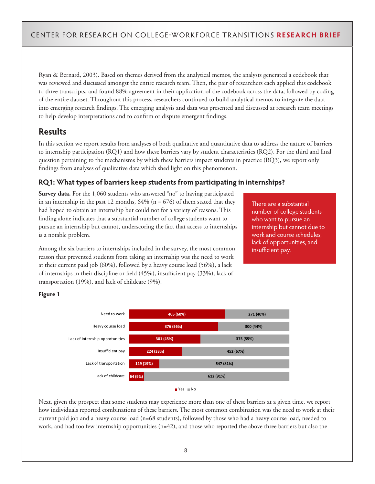Ryan & Bernard, 2003). Based on themes derived from the analytical memos, the analysts generated a codebook that was reviewed and discussed amongst the entire research team. Then, the pair of researchers each applied this codebook to three transcripts, and found 88% agreement in their application of the codebook across the data, followed by coding of the entire dataset. Throughout this process, researchers continued to build analytical memos to integrate the data into emerging research findings. The emerging analysis and data was presented and discussed at research team meetings to help develop interpretations and to confirm or dispute emergent findings.

# **Results**

In this section we report results from analyses of both qualitative and quantitative data to address the nature of barriers to internship participation (RQ1) and how these barriers vary by student characteristics (RQ2). For the third and final question pertaining to the mechanisms by which these barriers impact students in practice (RQ3), we report only findings from analyses of qualitative data which shed light on this phenomenon.

#### **RQ1: What types of barriers keep students from participating in internships?**

**Survey data.** For the 1,060 students who answered "no" to having participated in an internship in the past 12 months,  $64\%$  (n = 676) of them stated that they had hoped to obtain an internship but could not for a variety of reasons. This finding alone indicates that a substantial number of college students want to pursue an internship but cannot, underscoring the fact that access to internships is a notable problem.

There are a substantial number of college students who want to pursue an internship but cannot due to work and course schedules, lack of opportunities, and insufficient pay.

Among the six barriers to internships included in the survey, the most common reason that prevented students from taking an internship was the need to work at their current paid job (60%), followed by a heavy course load (56%), a lack of internships in their discipline or field (45%), insufficient pay (33%), lack of transportation (19%), and lack of childcare (9%).





Next, given the prospect that some students may experience more than one of these barriers at a given time, we report how individuals reported combinations of these barriers. The most common combination was the need to work at their current paid job and a heavy course load (n=68 students), followed by those who had a heavy course load, needed to work, and had too few internship opportunities (n=42), and those who reported the above three barriers but also the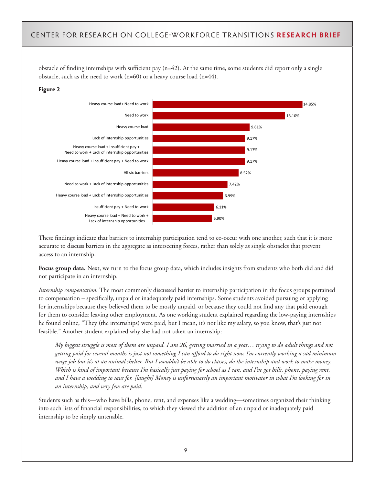obstacle of finding internships with sufficient pay  $(n=42)$ . At the same time, some students did report only a single obstacle, such as the need to work (n=60) or a heavy course load (n=44).

#### **Figure 2**



These findings indicate that barriers to internship participation tend to co-occur with one another, such that it is more accurate to discuss barriers in the aggregate as intersecting forces, rather than solely as single obstacles that prevent access to an internship.

**Focus group data.** Next, we turn to the focus group data, which includes insights from students who both did and did not participate in an internship.

*Internship compensation.* The most commonly discussed barrier to internship participation in the focus groups pertained to compensation – specifically, unpaid or inadequately paid internships. Some students avoided pursuing or applying for internships because they believed them to be mostly unpaid, or because they could not find any that paid enough for them to consider leaving other employment. As one working student explained regarding the low-paying internships he found online, "They (the internships) were paid, but I mean, it's not like my salary, so you know, that's just not feasible." Another student explained why she had not taken an internship:

*My biggest struggle is most of them are unpaid. I am 26, getting married in a year… trying to do adult things and not getting paid for several months is just not something I can afford to do right now. I'm currently working a sad minimum wage job but it's at an animal shelter. But I wouldn't be able to do classes, do the internship and work to make money. Which is kind of important because I'm basically just paying for school as I can, and I've got bills, phone, paying rent, and I have a wedding to save for. [laughs] Money is unfortunately an important motivator in what I'm looking for in an internship, and very few are paid.*

Students such as this—who have bills, phone, rent, and expenses like a wedding—sometimes organized their thinking into such lists of financial responsibilities, to which they viewed the addition of an unpaid or inadequately paid internship to be simply untenable.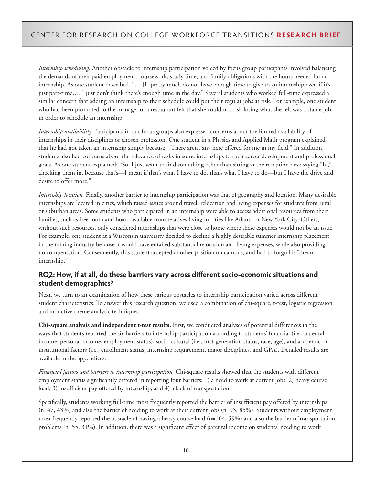*Internship scheduling.* Another obstacle to internship participation voiced by focus group participants involved balancing the demands of their paid employment, coursework, study time, and family obligations with the hours needed for an internship. As one student described, "… [I] pretty much do not have enough time to give to an internship even if it's just part-time…. I just don't think there's enough time in the day." Several students who worked full-time expressed a similar concern that adding an internship to their schedule could put their regular jobs at risk. For example, one student who had been promoted to the manager of a restaurant felt that she could not risk losing what she felt was a stable job in order to schedule an internship.

*Internship availability.* Participants in our focus groups also expressed concerns about the limited availability of internships in their disciplines or chosen profession. One student in a Physics and Applied Math program explained that he had not taken an internship simply because, "There aren't any here offered for me in my field." In addition, students also had concerns about the relevance of tasks in some internships to their career development and professional goals. As one student explained: "So, I just want to find something other than sitting at the reception desk saying "hi," checking them in, because that's—I mean if that's what I have to do, that's what I have to do—but I have the drive and desire to offer more."

*Internship location.* Finally, another barrier to internship participation was that of geography and location. Many desirable internships are located in cities, which raised issues around travel, relocation and living expenses for students from rural or suburban areas. Some students who participated in an internship were able to access additional resources from their families, such as free room and board available from relatives living in cities like Atlanta or New York City. Others, without such resources, only considered internships that were close to home where these expenses would not be an issue. For example, one student at a Wisconsin university decided to decline a highly desirable summer internship placement in the mining industry because it would have entailed substantial relocation and living expenses, while also providing no compensation. Consequently, this student accepted another position on campus, and had to forgo his "dream internship."

#### **RQ2: How, if at all, do these barriers vary across different socio-economic situations and student demographics?**

Next, we turn to an examination of how these various obstacles to internship participation varied across different student characteristics. To answer this research question, we used a combination of chi-square, t-test, logistic regression and inductive theme analytic techniques.

**Chi-square analysis and independent t-test results.** First, we conducted analyses of potential differences in the ways that students reported the six barriers to internship participation according to students' financial (i.e., parental income, personal income, employment status), socio-cultural (i.e., first-generation status, race, age), and academic or institutional factors (i.e., enrollment status, internship requirement, major disciplines, and GPA). Detailed results are available in the appendices.

*Financial factors and barriers to internship participation.* Chi-square results showed that the students with different employment status significantly differed in reporting four barriers: 1) a need to work at current jobs, 2) heavy course load, 3) insufficient pay offered by internship, and 4) a lack of transportation.

Specifically, students working full-time most frequently reported the barrier of insufficient pay offered by internships (n=47, 43%) and also the barrier of needing to work at their current jobs (n=93, 85%). Students without employment most frequently reported the obstacle of having a heavy course load (n=104, 59%) and also the barrier of transportation problems (n=55, 31%). In addition, there was a significant effect of parental income on students' needing to work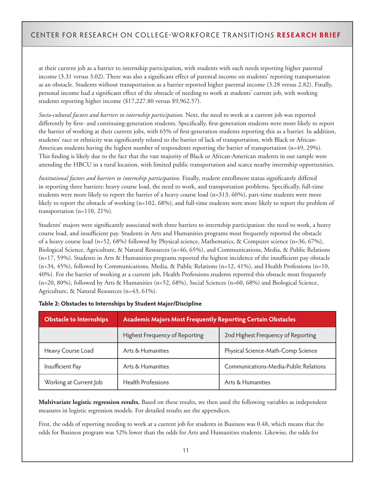at their current job as a barrier to internship participation, with students with such needs reporting higher parental income (3.31 versus 3.02). There was also a significant effect of parental income on students' reporting transportation as an obstacle. Students without transportation as a barrier reported higher parental income (3.28 versus 2.82). Finally, personal income had a significant effect of the obstacle of needing to work at students' current job, with working students reporting higher income (\$17,227.80 versus \$9,962.57).

*Socio-cultural factors and barriers to internship participation.* Next, the need to work at a current job was reported differently by first- and continuing-generation students. Specifically, first-generation students were more likely to report the barrier of working at their current jobs, with 65% of first-generation students reporting this as a barrier. In addition, students' race or ethnicity was significantly related to the barrier of lack of transportation, with Black or African-American students having the highest number of respondents reporting the barrier of transportation (n=49, 29%). This finding is likely due to the fact that the vast majority of Black or African-American students in our sample were attending the HBCU in a rural location, with limited public transportation and scarce nearby internship opportunities.

*Institutional factors and barriers to internship participation.* Finally, student enrollment status significantly differed in reporting three barriers: heavy course load, the need to work, and transportation problems. Specifically, full-time students were more likely to report the barrier of a heavy course load (n=313, 60%), part-time students were more likely to report the obstacle of working (n=102, 68%), and full-time students were more likely to report the problem of transportation (n=110, 21%).

Students' majors were significantly associated with three barriers to internship participation: the need to work, a heavy course load, and insufficient pay. Students in Arts and Humanities programs most frequently reported the obstacle of a heavy course load (n=52, 68%) followed by Physical science, Mathematics, & Computer science (n=36, 67%), Biological Science, Agriculture, & Natural Resources (n=46, 65%), and Communications, Media, & Public Relations  $(n=17, 59%)$ . Students in Arts & Humanities programs reported the highest incidence of the insufficient pay obstacle  $(n=34, 45%)$ , followed by Communications, Media, & Public Relations  $(n=12, 41%)$ , and Health Professions  $(n=10, 41%)$ 40%). For the barrier of working at a current job, Health Professions students reported this obstacle most frequently (n=20, 80%), followed by Arts & Humanities (n=52, 68%), Social Sciences (n=60, 68%) and Biological Science, Agriculture, & Natural Resources (n=43, 61%).

| <b>Obstacle to Internships</b> | <b>Academic Majors Most Frequently Reporting Certain Obstacles</b> |                                       |
|--------------------------------|--------------------------------------------------------------------|---------------------------------------|
|                                | Highest Frequency of Reporting                                     | 2nd Highest Frequency of Reporting    |
| Heavy Course Load              | Arts & Humanities                                                  | Physical Science-Math-Comp Science    |
| Insufficient Pay               | Arts & Humanities                                                  | Communications-Media-Public Relations |
| Working at Current Job         | <b>Health Professions</b>                                          | Arts & Humanities                     |

**Multivariate logistic regression results.** Based on these results, we then used the following variables as independent measures in logistic regression models. For detailed results see the appendices.

First, the odds of reporting needing to work at a current job for students in Business was 0.48, which means that the odds for Business program was 52% lower than the odds for Arts and Humanities students. Likewise, the odds for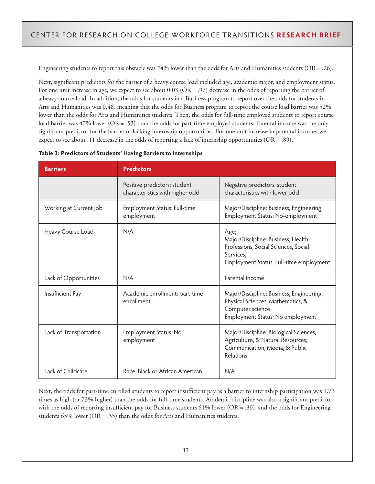Engineering students to report this obstacle was 74% lower than the odds for Arts and Humanities students (OR = .26).

Next, significant predictors for the barrier of a heavy course load included age, academic major, and employment status. For one unit increase in age, we expect to see about  $0.03$  (OR = .97) decrease in the odds of reporting the barrier of a heavy course load. In addition, the odds for students in a Business program to report over the odds for students in Arts and Humanities was 0.48, meaning that the odds for Business program to report the course load barrier was 52% lower than the odds for Arts and Humanities students. Then, the odds for full-time employed students to report course load barrier was 47% lower (OR = .53) than the odds for part-time employed students. Parental income was the only significant predictor for the barrier of lacking internship opportunities. For one unit increase in parental income, we expect to see about .11 decrease in the odds of reporting a lack of internship opportunities ( $OR = .89$ ).

| <b>Barriers</b>        | <b>Predictors</b>                                               |                                                                                                                                            |
|------------------------|-----------------------------------------------------------------|--------------------------------------------------------------------------------------------------------------------------------------------|
|                        | Positive predictors: student<br>characteristics with higher odd | Negative predictors: student<br>characteristics with lower odd                                                                             |
| Working at Current Job | Employment Status: Full-time<br>employment                      | Major/Discipline: Business, Engineering<br>Employment Status: No-employment                                                                |
| Heavy Course Load      | N/A                                                             | Age;<br>Major/Discipline: Business, Health<br>Professions, Social Sciences, Social<br>Services;<br>Employment Status: Full-time employment |
| Lack of Opportunities  | N/A                                                             | Parental income                                                                                                                            |
| Insufficient Pay       | Academic enrollment: part-time<br>enrollment                    | Major/Discipline: Business, Engineering,<br>Physical Sciences, Mathematics, &<br>Computer science<br>Employment Status: No employment      |
| Lack of Transportation | Employment Status: No<br>employment                             | Major/Discipline: Biological Sciences,<br>Agriculture, & Natural Resources;<br>Communication, Media, & Public<br>Relations                 |
| Lack of Childcare      | Race: Black or African American                                 | N/A                                                                                                                                        |

#### **Table 3: Predictors of Students' Having Barriers to Internships**

Next, the odds for part-time enrolled students to report insufficient pay as a barrier to internship participation was 1.73 times as high (or 73% higher) than the odds for full-time students. Academic discipline was also a significant predictor, with the odds of reporting insufficient pay for Business students 61% lower (OR = .39), and the odds for Engineering students 65% lower (OR = .35) than the odds for Arts and Humanities students.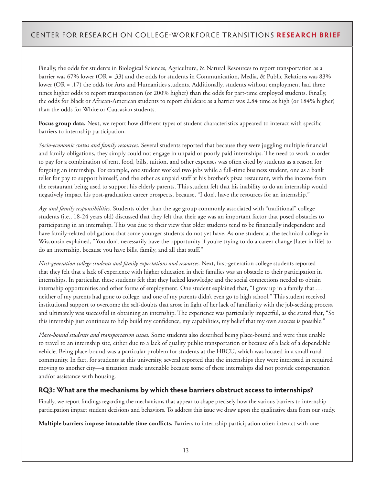Finally, the odds for students in Biological Sciences, Agriculture, & Natural Resources to report transportation as a barrier was 67% lower (OR = .33) and the odds for students in Communication, Media, & Public Relations was 83% lower (OR = .17) the odds for Arts and Humanities students. Additionally, students without employment had three times higher odds to report transportation (or 200% higher) than the odds for part-time employed students. Finally, the odds for Black or African-American students to report childcare as a barrier was 2.84 time as high (or 184% higher) than the odds for White or Caucasian students.

**Focus group data.** Next, we report how different types of student characteristics appeared to interact with specific barriers to internship participation.

*Socio-economic status and family resources.* Several students reported that because they were juggling multiple financial and family obligations, they simply could not engage in unpaid or poorly paid internships. The need to work in order to pay for a combination of rent, food, bills, tuition, and other expenses was often cited by students as a reason for forgoing an internship. For example, one student worked two jobs while a full-time business student, one as a bank teller for pay to support himself, and the other as unpaid staff at his brother's pizza restaurant, with the income from the restaurant being used to support his elderly parents. This student felt that his inability to do an internship would negatively impact his post-graduation career prospects, because, "I don't have the resources for an internship."

*Age and family responsibilities.* Students older than the age group commonly associated with "traditional" college students (i.e., 18-24 years old) discussed that they felt that their age was an important factor that posed obstacles to participating in an internship. This was due to their view that older students tend to be financially independent and have family-related obligations that some younger students do not yet have. As one student at the technical college in Wisconsin explained, "You don't necessarily have the opportunity if you're trying to do a career change [later in life] to do an internship, because you have bills, family, and all that stuff."

*First-generation college students and family expectations and resources.* Next, first-generation college students reported that they felt that a lack of experience with higher education in their families was an obstacle to their participation in internships. In particular, these students felt that they lacked knowledge and the social connections needed to obtain internship opportunities and other forms of employment. One student explained that, "I grew up in a family that … neither of my parents had gone to college, and one of my parents didn't even go to high school." This student received institutional support to overcome the self-doubts that arose in light of her lack of familiarity with the job-seeking process, and ultimately was successful in obtaining an internship. The experience was particularly impactful, as she stated that, "So this internship just continues to help build my confidence, my capabilities, my belief that my own success is possible."

*Place-bound students and transportation issues.* Some students also described being place-bound and were thus unable to travel to an internship site, either due to a lack of quality public transportation or because of a lack of a dependable vehicle. Being place-bound was a particular problem for students at the HBCU, which was located in a small rural community. In fact, for students at this university, several reported that the internships they were interested in required moving to another city—a situation made untenable because some of these internships did not provide compensation and/or assistance with housing.

#### **RQ3: What are the mechanisms by which these barriers obstruct access to internships?**

Finally, we report findings regarding the mechanisms that appear to shape precisely how the various barriers to internship participation impact student decisions and behaviors. To address this issue we draw upon the qualitative data from our study.

**Multiple barriers impose intractable time conflicts.** Barriers to internship participation often interact with one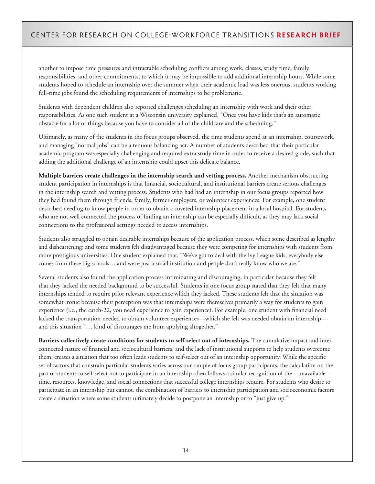another to impose time pressures and intractable scheduling conflicts among work, classes, study time, family responsibilities, and other commitments, to which it may be impossible to add additional internship hours. While some students hoped to schedule an internship over the summer when their academic load was less onerous, students working full-time jobs found the scheduling requirements of internships to be problematic.

Students with dependent children also reported challenges scheduling an internship with work and their other responsibilities. As one such student at a Wisconsin university explained, "Once you have kids that's an automatic obstacle for a lot of things because you have to consider all of the childcare and the scheduling."

Ultimately, as many of the students in the focus groups observed, the time students spend at an internship, coursework, and managing "normal jobs" can be a tenuous balancing act. A number of students described that their particular academic program was especially challenging and required extra study time in order to receive a desired grade, such that adding the additional challenge of an internship could upset this delicate balance.

**Multiple barriers create challenges in the internship search and vetting process.** Another mechanism obstructing student participation in internships is that financial, sociocultural, and institutional barriers create serious challenges in the internship search and vetting process. Students who had had an internship in our focus groups reported how they had found them through friends, family, former employers, or volunteer experiences. For example, one student described needing to know people in order to obtain a coveted internship placement in a local hospital. For students who are not well connected the process of finding an internship can be especially difficult, as they may lack social connections to the professional settings needed to access internships.

Students also struggled to obtain desirable internships because of the application process, which some described as lengthy and disheartening; and some students felt disadvantaged because they were competing for internships with students from more prestigious universities. One student explained that, "We've got to deal with the Ivy League kids, everybody else comes from these big schools… and we're just a small institution and people don't really know who we are."

Several students also found the application process intimidating and discouraging, in particular because they felt that they lacked the needed background to be successful. Students in one focus group stated that they felt that many internships tended to require prior relevant experience which they lacked. These students felt that the situation was somewhat ironic because their perception was that internships were themselves primarily a way for students to gain experience (i.e., the catch-22, you need experience to gain experience). For example, one student with financial need lacked the transportation needed to obtain volunteer experiences—which she felt was needed obtain an internship and this situation "… kind of discourages me from applying altogether."

**Barriers collectively create conditions for students to self-select out of internships.** The cumulative impact and interconnected nature of financial and sociocultural barriers, and the lack of institutional supports to help students overcome them, creates a situation that too often leads students to self-select out of an internship opportunity. While the specific set of factors that constrain particular students varies across our sample of focus group participants, the calculation on the part of students to self-select not to participate in an internship often follows a similar recognition of the—unavailable time, resources, knowledge, and social connections that successful college internships require. For students who desire to participate in an internship but cannot, the combination of barriers to internship participation and socioeconomic factors create a situation where some students ultimately decide to postpone an internship or to "just give up."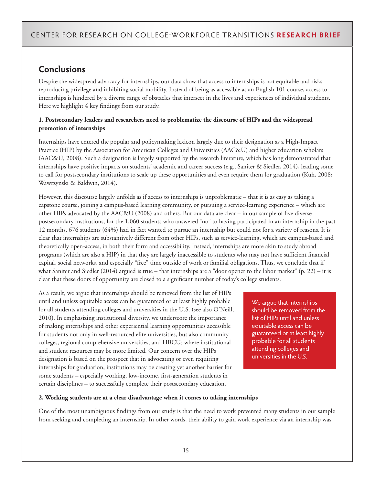# **Conclusions**

Despite the widespread advocacy for internships, our data show that access to internships is not equitable and risks reproducing privilege and inhibiting social mobility. Instead of being as accessible as an English 101 course, access to internships is hindered by a diverse range of obstacles that intersect in the lives and experiences of individual students. Here we highlight 4 key findings from our study.

#### **1. Postsecondary leaders and researchers need to problematize the discourse of HIPs and the widespread promotion of internships**

Internships have entered the popular and policymaking lexicon largely due to their designation as a High-Impact Practice (HIP) by the Association for American Colleges and Universities (AAC&U) and higher education scholars (AAC&U, 2008). Such a designation is largely supported by the research literature, which has long demonstrated that internships have positive impacts on students' academic and career success (e.g., Saniter & Siedler, 2014), leading some to call for postsecondary institutions to scale up these opportunities and even require them for graduation (Kuh, 2008; Wawrzynski & Baldwin, 2014).

However, this discourse largely unfolds as if access to internships is unproblematic – that it is as easy as taking a capstone course, joining a campus-based learning community, or pursuing a service-learning experience – which are other HIPs advocated by the AAC&U (2008) and others. But our data are clear – in our sample of five diverse postsecondary institutions, for the 1,060 students who answered "no" to having participated in an internship in the past 12 months, 676 students (64%) had in fact wanted to pursue an internship but could not for a variety of reasons. It is clear that internships are substantively different from other HIPs, such as service-learning, which are campus-based and theoretically open-access, in both their form and accessibility. Instead, internships are more akin to study abroad programs (which are also a HIP) in that they are largely inaccessible to students who may not have sufficient financial capital, social networks, and especially "free" time outside of work or familial obligations. Thus, we conclude that if what Saniter and Siedler (2014) argued is true – that internships are a "door opener to the labor market" (p. 22) – it is clear that these doors of opportunity are closed to a significant number of today's college students.

As a result, we argue that internships should be removed from the list of HIPs until and unless equitable access can be guaranteed or at least highly probable for all students attending colleges and universities in the U.S. (see also O'Neill, 2010). In emphasizing institutional diversity, we underscore the importance of making internships and other experiential learning opportunities accessible for students not only in well-resourced elite universities, but also community colleges, regional comprehensive universities, and HBCUs where institutional and student resources may be more limited. Our concern over the HIPs designation is based on the prospect that in advocating or even requiring internships for graduation, institutions may be creating yet another barrier for some students – especially working, low-income, first-generation students in certain disciplines – to successfully complete their postsecondary education.

We argue that internships should be removed from the list of HIPs until and unless equitable access can be guaranteed or at least highly probable for all students attending colleges and universities in the U.S.

#### **2. Working students are at a clear disadvantage when it comes to taking internships**

One of the most unambiguous findings from our study is that the need to work prevented many students in our sample from seeking and completing an internship. In other words, their ability to gain work experience via an internship was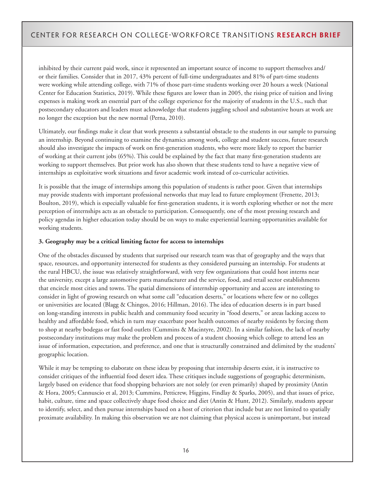inhibited by their current paid work, since it represented an important source of income to support themselves and/ or their families. Consider that in 2017, 43% percent of full-time undergraduates and 81% of part-time students were working while attending college, with 71% of those part-time students working over 20 hours a week (National Center for Education Statistics, 2019). While these figures are lower than in 2005, the rising price of tuition and living expenses is making work an essential part of the college experience for the majority of students in the U.S., such that postsecondary educators and leaders must acknowledge that students juggling school and substantive hours at work are no longer the exception but the new normal (Perna, 2010).

Ultimately, our findings make it clear that work presents a substantial obstacle to the students in our sample to pursuing an internship. Beyond continuing to examine the dynamics among work, college and student success, future research should also investigate the impacts of work on first-generation students, who were more likely to report the barrier of working at their current jobs (65%). This could be explained by the fact that many first-generation students are working to support themselves. But prior work has also shown that these students tend to have a negative view of internships as exploitative work situations and favor academic work instead of co-curricular activities.

It is possible that the image of internships among this population of students is rather poor. Given that internships may provide students with important professional networks that may lead to future employment (Frenette, 2013; Boulton, 2019), which is especially valuable for first-generation students, it is worth exploring whether or not the mere perception of internships acts as an obstacle to participation. Consequently, one of the most pressing research and policy agendas in higher education today should be on ways to make experiential learning opportunities available for working students.

#### **3. Geography may be a critical limiting factor for access to internships**

One of the obstacles discussed by students that surprised our research team was that of geography and the ways that space, resources, and opportunity intersected for students as they considered pursuing an internship. For students at the rural HBCU, the issue was relatively straightforward, with very few organizations that could host interns near the university, except a large automotive parts manufacturer and the service, food, and retail sector establishments that encircle most cities and towns. The spatial dimensions of internship opportunity and access are interesting to consider in light of growing research on what some call "education deserts," or locations where few or no colleges or universities are located (Blagg & Chingos, 2016; Hillman, 2016). The idea of education deserts is in part based on long-standing interests in public health and community food security in "food deserts," or areas lacking access to healthy and affordable food, which in turn may exacerbate poor health outcomes of nearby residents by forcing them to shop at nearby bodegas or fast food outlets (Cummins & Macintyre, 2002). In a similar fashion, the lack of nearby postsecondary institutions may make the problem and process of a student choosing which college to attend less an issue of information, expectation, and preference, and one that is structurally constrained and delimited by the students' geographic location.

While it may be tempting to elaborate on these ideas by proposing that internship deserts exist, it is instructive to consider critiques of the influential food desert idea. These critiques include suggestions of geographic determinism, largely based on evidence that food shopping behaviors are not solely (or even primarily) shaped by proximity (Antin & Hora, 2005; Cannuscio et al, 2013; Cummins, Petticrew, Higgins, Findlay & Sparks, 2005), and that issues of price, habit, culture, time and space collectively shape food choice and diet (Antin & Hunt, 2012). Similarly, students appear to identify, select, and then pursue internships based on a host of criterion that include but are not limited to spatially proximate availability. In making this observation we are not claiming that physical access is unimportant, but instead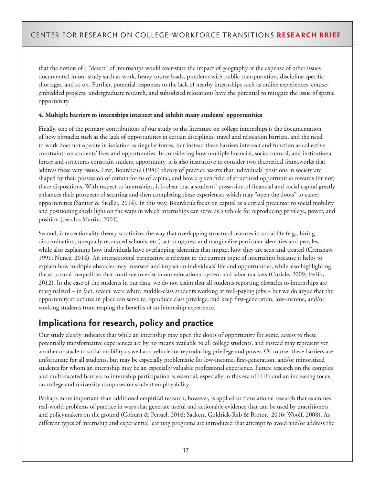that the notion of a "desert" of internships would over-state the impact of geography at the expense of other issues documented in our study such as work, heavy course loads, problems with public transportation, discipline-specific shortages, and so on. Further, potential responses to the lack of nearby internships such as online experiences, courseembedded projects, undergraduate research, and subsidized relocations have the potential to mitigate the issue of spatial opportunity.

#### **4. Multiple barriers to internships intersect and inhibit many students' opportunities**

Finally, one of the primary contributions of our study to the literature on college internships is the documentation of how obstacles such as the lack of opportunities in certain disciplines, travel and relocation barriers, and the need to work does not operate in isolation as singular forces, but instead these barriers intersect and function as collective constraints on students' lives and opportunities. In considering how multiple financial, socio-cultural, and institutional forces and structures constrain student opportunity, it is also instructive to consider two theoretical frameworks that address these very issues. First, Bourdieu's (1986) theory of practice asserts that individuals' positions in society are shaped by their possession of certain forms of capital, and how a given field of structured opportunities rewards (or not) these dispositions. With respect to internships, it is clear that a students' possession of financial and social capital greatly enhances their prospects of securing and then completing these experiences which may "open the doors" to career opportunities (Saniter & Siedler, 2014). In this way, Bourdieu's focus on capital as a critical precursor to social mobility and positioning sheds light on the ways in which internships can serve as a vehicle for reproducing privilege, power, and position (see also Martin, 2001).

Second, intersectionality theory scrutinizes the way that overlapping structural features in social life (e.g., hiring discrimination, unequally resourced schools, etc.) act to oppress and marginalize particular identities and peoples, while also explaining how individuals have overlapping identities that impact how they are seen and treated (Crenshaw, 1991; Nunez, 2014). An intersectional perspective is relevant to the current topic of internships because it helps to explain how multiple obstacles may intersect and impact an individuals' life and opportunities, while also highlighting the structural inequalities that continue to exist in our educational system and labor markets (Curiale, 2009; Perlin, 2012). In the case of the students in our data, we do not claim that all students reporting obstacles to internships are marginalized – in fact, several were white, middle-class students working at well-paying jobs – but we do argue that the opportunity structures in place can serve to reproduce class privilege, and keep first-generation, low-income, and/or working students from reaping the benefits of an internship experience.

# **Implications for research, policy and practice**

Our study clearly indicates that while an internship may open the doors of opportunity for some, access to these potentially transformative experiences are by no means available to all college students, and instead may represent yet another obstacle to social mobility as well as a vehicle for reproducing privilege and power. Of course, these barriers are unfortunate for all students, but may be especially problematic for low-income, first-generation, and/or minoritized students for whom an internship may be an especially valuable professional experience. Future research on the complex and multi-faceted barriers to internship participation is essential, especially in this era of HIPs and an increasing focus on college and university campuses on student employability.

Perhaps more important than additional empirical research, however, is applied or translational research that examines real-world problems of practice in ways that generate useful and actionable evidence that can be used by practitioners and policymakers on the ground (Coburn & Penuel, 2016; Sackett, Goldrick-Rab & Broton, 2016; Woolf, 2008). As different types of internship and experiential learning programs are introduced that attempt to avoid and/or address the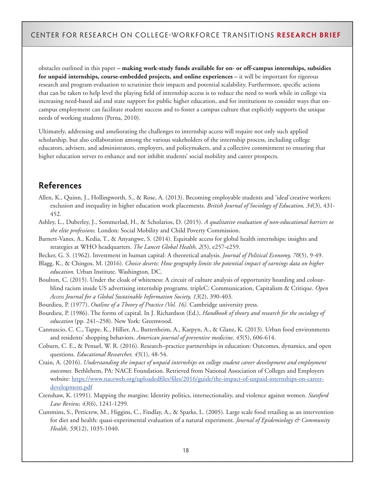obstacles outlined in this paper **– making work-study funds available for on- or off-campus internships, subsidies for unpaid internships, course-embedded projects, and online experiences –** it will be important for rigorous research and program evaluation to scrutinize their impacts and potential scalability. Furthermore, specific actions that can be taken to help level the playing field of internship access is to reduce the need to work while in college via increasing need-based aid and state support for public higher education, and for institutions to consider ways that oncampus employment can facilitate student success and to foster a campus culture that explicitly supports the unique needs of working students (Perna, 2010).

Ultimately, addressing and ameliorating the challenges to internship access will require not only such applied scholarship, but also collaboration among the various stakeholders of the internship process, including college educators, advisers, and administrators, employers, and policymakers, and a collective commitment to ensuring that higher education serves to enhance and not inhibit students' social mobility and career prospects.

## **References**

- Allen, K., Quinn, J., Hollingworth, S., & Rose, A. (2013). Becoming employable students and 'ideal'creative workers: exclusion and inequality in higher education work placements. *British Journal of Sociology of Education, 34*(3), 431- 452.
- Ashley, L., Duberley, J., Sommerlad, H., & Scholarios, D. (2015). *A qualitative evaluation of non-educational barriers to the elite professions.* London: Social Mobility and Child Poverty Commission.
- Barnett-Vanes, A., Kedia, T., & Anyangwe, S. (2014). Equitable access for global health internships: insights and strategies at WHO headquarters. *The Lancet Global Health, 2*(5), e257-e259.

Becker, G. S. (1962). Investment in human capital: A theoretical analysis. *Journal of Political Economy, 70*(5), 9-49.

- Blagg, K., & Chingos, M. (2016). *Choice deserts: How geography limits the potential impact of earnings data on higher education.* Urban Institute. Washington, DC.
- Boulton, C. (2015). Under the cloak of whiteness: A circuit of culture analysis of opportunity hoarding and colourblind racism inside US advertising internship programs. tripleC: Communication, Capitalism & Critique. *Open Access Journal for a Global Sustainable Information Society, 13*(2), 390-403.
- Bourdieu, P. (1977). *Outline of a Theory of Practice (Vol. 16).* Cambridge university press.
- Bourdieu, P. (1986). The forms of capital. In J. Richardson (Ed.), *Handbook of theory and research for the sociology of education* (pp. 241–258). New York: Greenwood.
- Cannuscio, C. C., Tappe, K., Hillier, A., Buttenheim, A., Karpyn, A., & Glanz, K. (2013). Urban food environments and residents' shopping behaviors. *American journal of preventive medicine, 45*(5), 606-614.
- Coburn, C. E., & Penuel, W. R. (2016). Research–practice partnerships in education: Outcomes, dynamics, and open questions. *Educational Researcher, 45*(1), 48-54.
- Crain, A. (2016). *Understanding the impact of unpaid internships on college student career development and employment outcomes.* Bethlehem, PA: NACE Foundation. Retrieved from National Association of Colleges and Employers website: [https://www.naceweb.org/uploadedfiles/files/2016/guide/the-impact-of-unpaid-internships-on-career](https://www.naceweb.org/uploadedfiles/files/2016/guide/the-impact-of-unpaid-internships-on-career-development.pdf)[development.pdf](https://www.naceweb.org/uploadedfiles/files/2016/guide/the-impact-of-unpaid-internships-on-career-development.pdf)
- Crenshaw, K. (1991). Mapping the margins: Identity politics, intersectionality, and violence against women. *Stanford Law Review, 43*(6), 1241-1299.
- Cummins, S., Petticrew, M., Higgins, C., Findlay, A., & Sparks, L. (2005). Large scale food retailing as an intervention for diet and health: quasi-experimental evaluation of a natural experiment. *Journal of Epidemiology & Community Health, 59*(12), 1035-1040.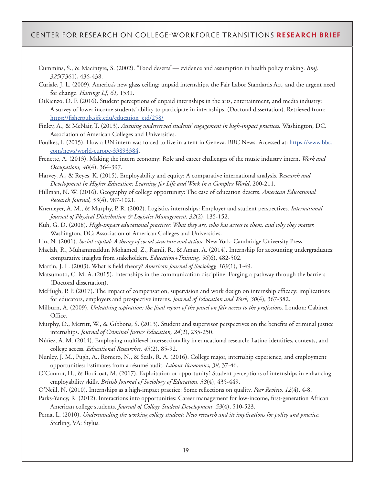- Cummins, S., & Macintyre, S. (2002). "Food deserts"— evidence and assumption in health policy making. *Bmj, 325*(7361), 436-438.
- Curiale, J. L. (2009). America's new glass ceiling: unpaid internships, the Fair Labor Standards Act, and the urgent need for change. *Hastings LJ, 61,* 1531.
- DiRienzo, D. F. (2016). Student perceptions of unpaid internships in the arts, entertainment, and media industry: A survey of lower income students' ability to participate in internships. (Doctoral dissertation). Retrieved from: [https://fisherpub.sjfc.edu/education\\_etd/258/](https://fisherpub.sjfc.edu/education_etd/258/)
- Finley, A., & McNair, T. (2013). *Assessing underserved students' engagement in high-impact practices.* Washington, DC. Association of American Colleges and Universities.
- Foulkes, I. (2015). How a UN intern was forced to live in a tent in Geneva. BBC News. Accessed at: [https://www.bbc.](https://www.bbc.com/news/world-europe-33893384) [com/news/world-europe-33893384](https://www.bbc.com/news/world-europe-33893384).
- Frenette, A. (2013). Making the intern economy: Role and career challenges of the music industry intern. *Work and Occupations, 40*(4), 364-397.
- Harvey, A., & Reyes, K. (2015). Employability and equity: A comparative international analysis. R*esearch and Development in Higher Education: Learning for Life and Work in a Complex World*, 200-211.
- Hillman, N. W. (2016). Geography of college opportunity: The case of education deserts. *American Educational Research Journal, 53*(4), 987-1021.
- Knemeyer, A. M., & Murphy, P. R. (2002). Logistics internships: Employer and student perspectives. *International Journal of Physical Distribution & Logistics Management, 32*(2), 135-152.
- Kuh, G. D. (2008). *High-impact educational practices: What they are, who has access to them, and why they matter.*  Washington, DC: Association of American Colleges and Universities.
- Lin, N. (2001). *Social capital: A theory of social structure and action.* New York: Cambridge University Press.
- Maelah, R., Muhammaddun Mohamed, Z., Ramli, R., & Aman, A. (2014). Internship for accounting undergraduates: comparative insights from stakeholders. *Education+Training, 56*(6), 482-502.
- Martin, J. L. (2003). What is field theory? *American Journal of Sociology, 109*(1), 1-49.
- Matsumoto, C. M. A. (2015). Internships in the communication discipline: Forging a pathway through the barriers (Doctoral dissertation).
- McHugh, P. P. (2017). The impact of compensation, supervision and work design on internship efficacy: implications for educators, employers and prospective interns. *Journal of Education and Work, 30*(4), 367-382.
- Milburn, A. (2009). *Unleashing aspiration: the final report of the panel on fair access to the professions.* London: Cabinet Office.
- Murphy, D., Merritt, W., & Gibbons, S. (2013). Student and supervisor perspectives on the benefits of criminal justice internships. *Journal of Criminal Justice Education, 24*(2), 235-250.
- Núñez, A. M. (2014). Employing multilevel intersectionality in educational research: Latino identities, contexts, and college access. *Educational Researcher, 43*(2), 85-92.
- Nunley, J. M., Pugh, A., Romero, N., & Seals, R. A. (2016). College major, internship experience, and employment opportunities: Estimates from a résumé audit. *Labour Economics, 38,* 37-46.
- O'Connor, H., & Bodicoat, M. (2017). Exploitation or opportunity? Student perceptions of internships in enhancing employability skills. *British Journal of Sociology of Education, 38*(4), 435-449.
- O'Neill, N. (2010). Internships as a high-impact practice: Some reflections on quality. *Peer Review, 12*(4), 4-8.
- Parks-Yancy, R. (2012). Interactions into opportunities: Career management for low-income, first-generation African American college students. *Journal of College Student Development, 53*(4), 510-523.
- Perna, L. (2010). *Understanding the working college student: New research and its implications for policy and practice.*  Sterling, VA: Stylus.